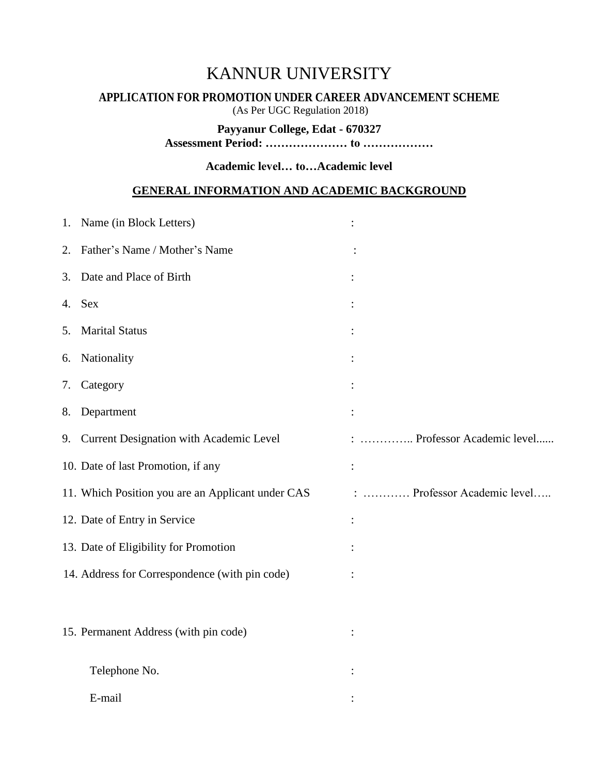# KANNUR UNIVERSITY

# **APPLICATION FOR PROMOTION UNDER CAREER ADVANCEMENT SCHEME**

(As Per UGC Regulation 2018)

**Payyanur College, Edat - 670327**

**Assessment Period: ………………… to ………………**

**Academic level… to…Academic level**

# **GENERAL INFORMATION AND ACADEMIC BACKGROUND**

| 1. | Name (in Block Letters)                           |                          |
|----|---------------------------------------------------|--------------------------|
| 2. | Father's Name / Mother's Name                     |                          |
| 3. | Date and Place of Birth                           |                          |
| 4. | <b>Sex</b>                                        |                          |
| 5. | <b>Marital Status</b>                             |                          |
| 6. | Nationality                                       |                          |
| 7. | Category                                          |                          |
| 8. | Department                                        |                          |
|    | 9. Current Designation with Academic Level        | Professor Academic level |
|    | 10. Date of last Promotion, if any                |                          |
|    | 11. Which Position you are an Applicant under CAS | Professor Academic level |
|    | 12. Date of Entry in Service                      |                          |
|    | 13. Date of Eligibility for Promotion             |                          |
|    | 14. Address for Correspondence (with pin code)    |                          |
|    |                                                   |                          |
|    | 15. Permanent Address (with pin code)             |                          |
|    | Telephone No.                                     |                          |
|    |                                                   |                          |
|    | E-mail                                            |                          |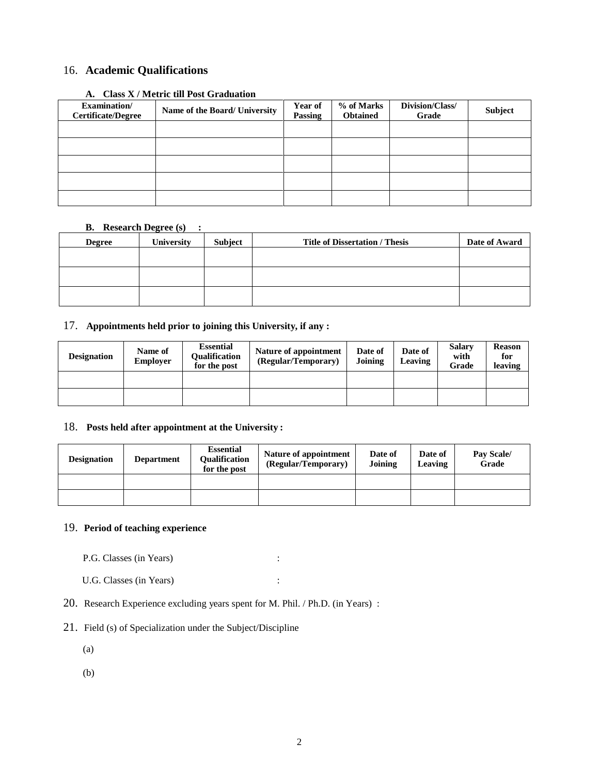## 16. **Academic Qualifications**

| <b>Examination</b> /<br><b>Certificate/Degree</b> | Name of the Board/ University | Year of<br>Passing | % of Marks<br><b>Obtained</b> | Division/Class/<br>Grade | Subject |
|---------------------------------------------------|-------------------------------|--------------------|-------------------------------|--------------------------|---------|
|                                                   |                               |                    |                               |                          |         |
|                                                   |                               |                    |                               |                          |         |
|                                                   |                               |                    |                               |                          |         |
|                                                   |                               |                    |                               |                          |         |
|                                                   |                               |                    |                               |                          |         |

#### **A. Class X / Metric till Post Graduation**

#### **B. Research Degree (s) :**

| <b>Degree</b> | $\sim$<br><b>University</b> | Subject | <b>Title of Dissertation / Thesis</b> | Date of Award |
|---------------|-----------------------------|---------|---------------------------------------|---------------|
|               |                             |         |                                       |               |
|               |                             |         |                                       |               |
|               |                             |         |                                       |               |
|               |                             |         |                                       |               |
|               |                             |         |                                       |               |

#### 17. **Appointments held prior to joining this University, if any :**

| <b>Designation</b> | Name of<br><b>Employer</b> | <b>Essential</b><br>Oualification<br>for the post | Nature of appointment<br>(Regular/Temporary) | Date of<br>Joining | Date of<br>Leaving | <b>Salary</b><br>with<br>Grade | <b>Reason</b><br>for<br>leaving |
|--------------------|----------------------------|---------------------------------------------------|----------------------------------------------|--------------------|--------------------|--------------------------------|---------------------------------|
|                    |                            |                                                   |                                              |                    |                    |                                |                                 |
|                    |                            |                                                   |                                              |                    |                    |                                |                                 |

#### 18. **Posts held after appointment at the University :**

| <b>Designation</b> | <b>Department</b> | <b>Essential</b><br>Oualification<br>for the post | Nature of appointment<br>(Regular/Temporary) | Date of<br>Joining | Date of<br>Leaving | Pay Scale/<br>Grade |
|--------------------|-------------------|---------------------------------------------------|----------------------------------------------|--------------------|--------------------|---------------------|
|                    |                   |                                                   |                                              |                    |                    |                     |
|                    |                   |                                                   |                                              |                    |                    |                     |

## 19. **Period of teaching experience**

P.G. Classes (in Years) :

- U.G. Classes (in Years) :
- 20. Research Experience excluding years spent for M. Phil. / Ph.D. (in Years) :
- 21. Field (s) of Specialization under the Subject/Discipline

(a)

(b)